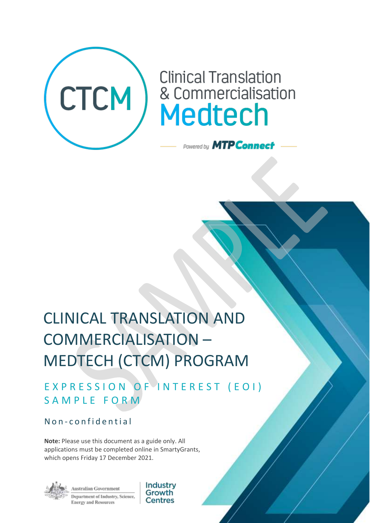

# CLINICAL TRANSLATION AND COMMERCIALISATION – MEDTECH (CTCM) PROGRAM

E X P R E S S I O N O F I N T E R E S T ( E O I ) SAMPLE FORM

## Non-confidential

**Note:** Please use this document as a guide only. All applications must be completed online in SmartyGrants, which opens Friday 17 December 2021.



ustralian Government Department of Industry, Science, Energy and Resources

Industry Growth Centres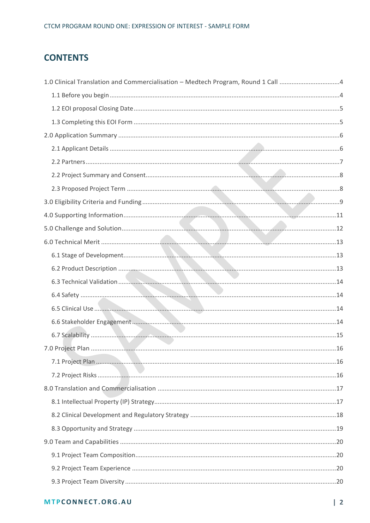## **CONTENTS**

| 1.0 Clinical Translation and Commercialisation - Medtech Program, Round 1 Call 4 |  |
|----------------------------------------------------------------------------------|--|
|                                                                                  |  |
|                                                                                  |  |
|                                                                                  |  |
|                                                                                  |  |
|                                                                                  |  |
|                                                                                  |  |
|                                                                                  |  |
|                                                                                  |  |
|                                                                                  |  |
|                                                                                  |  |
|                                                                                  |  |
|                                                                                  |  |
|                                                                                  |  |
|                                                                                  |  |
|                                                                                  |  |
|                                                                                  |  |
|                                                                                  |  |
|                                                                                  |  |
|                                                                                  |  |
|                                                                                  |  |
|                                                                                  |  |
|                                                                                  |  |
|                                                                                  |  |
|                                                                                  |  |
|                                                                                  |  |
|                                                                                  |  |
|                                                                                  |  |
|                                                                                  |  |
|                                                                                  |  |
|                                                                                  |  |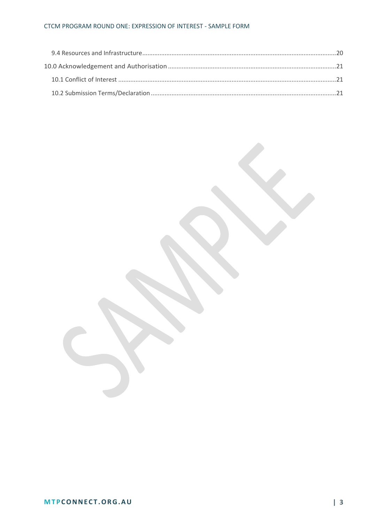#### CTCM PROGRAM ROUND ONE: EXPRESSION OF INTEREST - SAMPLE FORM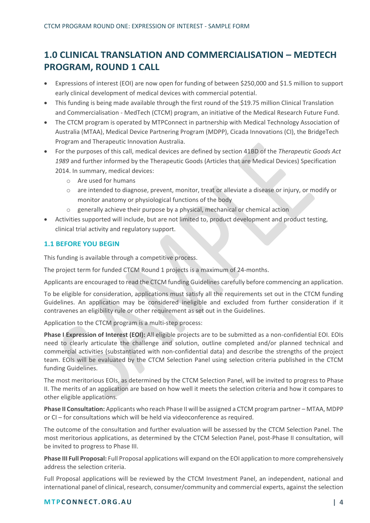## <span id="page-3-0"></span>**1.0 CLINICAL TRANSLATION AND COMMERCIALISATION – MEDTECH PROGRAM, ROUND 1 CALL**

- Expressions of interest (EOI) are now open for funding of between \$250,000 and \$1.5 million to support early clinical development of medical devices with commercial potential.
- This funding is being made available through the first round of the \$19.75 million Clinical Translation and Commercialisation - MedTech (CTCM) program, an initiative of the Medical Research Future Fund.
- The CTCM program is operated by MTPConnect in partnership with Medical Technology Association of Australia (MTAA), Medical Device Partnering Program (MDPP), Cicada Innovations (CI), the BridgeTech Program and Therapeutic Innovation Australia.
- For the purposes of this call, medical devices are defined by section 41BD of the *Therapeutic Goods Act 1989* and further informed by the Therapeutic Goods (Articles that are Medical Devices) Specification 2014. In summary, medical devices:
	- o Are used for humans
	- o are intended to diagnose, prevent, monitor, treat or alleviate a disease or injury, or modify or monitor anatomy or physiological functions of the body
	- o generally achieve their purpose by a physical, mechanical or chemical action
- Activities supported will include, but are not limited to, product development and product testing, clinical trial activity and regulatory support.

#### <span id="page-3-1"></span>**1.1 BEFORE YOU BEGIN**

This funding is available through a competitive process.

The project term for funded CTCM Round 1 projects is a maximum of 24-months.

Applicants are encouraged to read the CTCM funding Guidelines carefully before commencing an application.

To be eligible for consideration, applications must satisfy all the requirements set out in the CTCM funding Guidelines. An application may be considered ineligible and excluded from further consideration if it contravenes an eligibility rule or other requirement as set out in the Guidelines.

Application to the CTCM program is a multi-step process:

**Phase I Expression of Interest (EOI):** All eligible projects are to be submitted as a non-confidential EOI. EOIs need to clearly articulate the challenge and solution, outline completed and/or planned technical and commercial activities (substantiated with non-confidential data) and describe the strengths of the project team. EOIs will be evaluated by the CTCM Selection Panel using selection criteria published in the CTCM funding Guidelines.

The most meritorious EOIs, as determined by the CTCM Selection Panel, will be invited to progress to Phase II. The merits of an application are based on how well it meets the selection criteria and how it compares to other eligible applications.

**Phase II Consultation:** Applicants who reach Phase II will be assigned a CTCM program partner – MTAA, MDPP or CI – for consultations which will be held via videoconference as required.

The outcome of the consultation and further evaluation will be assessed by the CTCM Selection Panel. The most meritorious applications, as determined by the CTCM Selection Panel, post-Phase II consultation, will be invited to progress to Phase III.

**Phase III Full Proposal:** Full Proposal applications will expand on the EOI application to more comprehensively address the selection criteria.

Full Proposal applications will be reviewed by the CTCM Investment Panel, an independent, national and international panel of clinical, research, consumer/community and commercial experts, against the selection

#### **M T P C O N N E C T . O R G . A U | 4**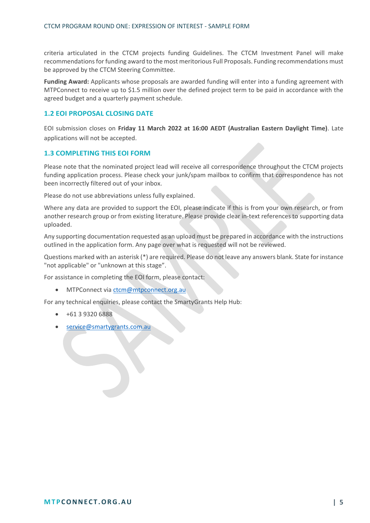criteria articulated in the CTCM projects funding Guidelines. The CTCM Investment Panel will make recommendations for funding award to the most meritorious Full Proposals. Funding recommendations must be approved by the CTCM Steering Committee.

**Funding Award:** Applicants whose proposals are awarded funding will enter into a funding agreement with MTPConnect to receive up to \$1.5 million over the defined project term to be paid in accordance with the agreed budget and a quarterly payment schedule.

#### <span id="page-4-0"></span>**1.2 EOI PROPOSAL CLOSING DATE**

EOI submission closes on **Friday 11 March 2022 at 16:00 AEDT (Australian Eastern Daylight Time)**. Late applications will not be accepted.

#### <span id="page-4-1"></span>**1.3 COMPLETING THIS EOI FORM**

Please note that the nominated project lead will receive all correspondence throughout the CTCM projects funding application process. Please check your junk/spam mailbox to confirm that correspondence has not been incorrectly filtered out of your inbox.

Please do not use abbreviations unless fully explained.

Where any data are provided to support the EOI, please indicate if this is from your own research, or from another research group or from existing literature. Please provide clear in-text references to supporting data uploaded.

Any supporting documentation requested as an upload must be prepared in accordance with the instructions outlined in the application form. Any page over what is requested will not be reviewed.

Questions marked with an asterisk (\*) are required. Please do not leave any answers blank. State for instance "not applicable" or "unknown at this stage".

For assistance in completing the EOI form, please contact:

• MTPConnect via ctcm@mtpconnect.org.au

For any technical enquiries, please contact the SmartyGrants Help Hub:

- +61 3 9320 6888
- [service@](mailto:service@smartygrants.com.au)smartygrants.com.au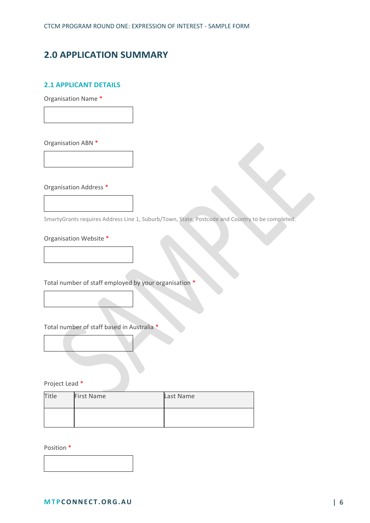## <span id="page-5-0"></span>**2.0 APPLICATION SUMMARY**

#### <span id="page-5-1"></span>**2.1 APPLICANT DETAILS**

Organisation Name \*

Organisation ABN \*

Organisation Address \*

SmartyGrants requires Address Line 1, Suburb/Town, State, Postcode and Country to be completed.

Organisation Website \*

Total number of staff employed by your organisation \*

Total number of staff based in Australia \*

Project Lead \*

| <b>Title</b> | <b>First Name</b> | Last Name |
|--------------|-------------------|-----------|
|              |                   |           |

Position \*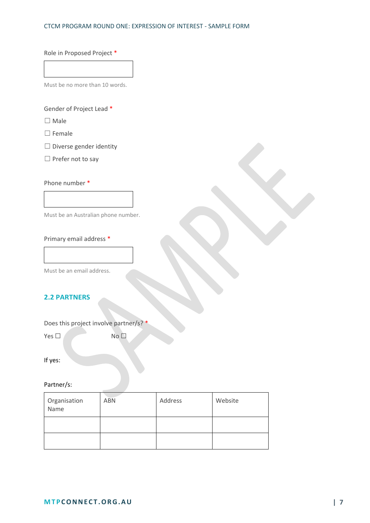#### CTCM PROGRAM ROUND ONE: EXPRESSION OF INTEREST - SAMPLE FORM

#### Role in Proposed Project \*

Must be no more than 10 words.

#### Gender of Project Lead \*

☐ Male

☐ Female

☐ Diverse gender identity

□ Prefer not to say

#### Phone number \*

Must be an Australian phone number.

#### Primary email address \*

Must be an email address.

#### <span id="page-6-0"></span>**2.2 PARTNERS**

Does this project involve partner/s? \*

Yes □ No □

If yes:

#### Partner/s:

| Organisation<br>Name | <b>ABN</b> | Address | Website |
|----------------------|------------|---------|---------|
|                      |            |         |         |
|                      |            |         |         |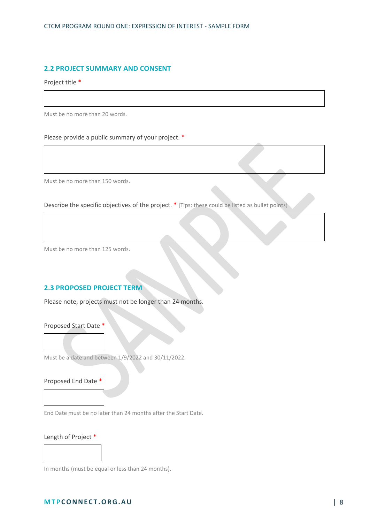#### <span id="page-7-0"></span>**2.2 PROJECT SUMMARY AND CONSENT**

Project title \*

Must be no more than 20 words.

Please provide a public summary of your project. \*

Must be no more than 150 words.

Describe the specific objectives of the project. \* [Tips: these could be listed as bullet points]

Must be no more than 125 words.

#### <span id="page-7-1"></span>**2.3 PROPOSED PROJECT TERM**

Please note, projects must not be longer than 24 months.

#### Proposed Start Date \*

Must be a date and between 1/9/2022 and 30/11/2022.

#### Proposed End Date \*

End Date must be no later than 24 months after the Start Date.

#### Length of Project \*

In months (must be equal or less than 24 months).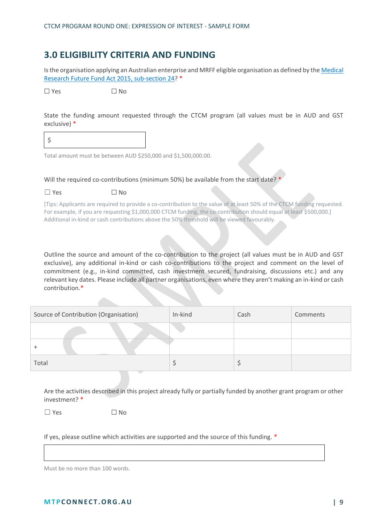## <span id="page-8-0"></span>**3.0 ELIGIBILITY CRITERIA AND FUNDING**

Is the organisation applying an Australian enterprise and MRFF eligible organisation as defined by the [Medical](https://www.legislation.gov.au/Details/C2019C00079)  [Research Future Fund Act 2015,](https://www.legislation.gov.au/Details/C2019C00079) sub-section 24? \*

 $\Box$  Yes  $\Box$  No

State the funding amount requested through the CTCM program (all values must be in AUD and GST exclusive) \*

 $\overline{S}$ 

Total amount must be between AUD \$250,000 and \$1,500,000.00.

Will the required co-contributions (minimum 50%) be available from the start date? \*

| $\Box$ Yes<br>$\Box$ No |  |
|-------------------------|--|
|-------------------------|--|

[Tips: Applicants are required to provide a co-contribution to the value of at least 50% of the CTCM funding requested. For example, if you are requesting \$1,000,000 CTCM funding, the co-contribution should equal at least \$500,000.] Additional in-kind or cash contributions above the 50% threshold will be viewed favourably.

Outline the source and amount of the co-contribution to the project (all values must be in AUD and GST exclusive), any additional in-kind or cash co-contributions to the project and comment on the level of commitment (e.g., in-kind committed, cash investment secured, fundraising, discussions etc.) and any relevant key dates. Please include all partner organisations, even where they aren't making an in-kind or cash contribution.\*

| Source of Contribution (Organisation) | In-kind | Cash | Comments |
|---------------------------------------|---------|------|----------|
|                                       |         |      |          |
|                                       |         |      |          |
| Total                                 |         |      |          |

Are the activities described in this project already fully or partially funded by another grant program or other investment? \*

 $\square$  Yes  $\square$  No

If yes, please outline which activities are supported and the source of this funding. \*

Must be no more than 100 words.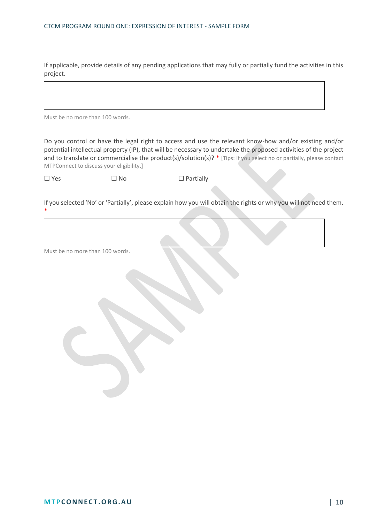If applicable, provide details of any pending applications that may fully or partially fund the activities in this project.

Must be no more than 100 words.

Do you control or have the legal right to access and use the relevant know-how and/or existing and/or potential intellectual property (IP), that will be necessary to undertake the proposed activities of the project and to translate or commercialise the product(s)/solution(s)? \* [Tips: if you select no or partially, please contact MTPConnect to discuss your eligibility.]

\*

 $\square$  Yes  $\square$  No  $\square$  Partially

If you selected 'No' or 'Partially', please explain how you will obtain the rights or why you will not need them.

Must be no more than 100 words.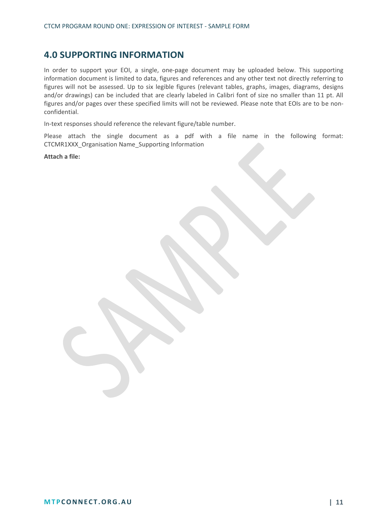## <span id="page-10-0"></span>**4.0 SUPPORTING INFORMATION**

In order to support your EOI, a single, one-page document may be uploaded below. This supporting information document is limited to data, figures and references and any other text not directly referring to figures will not be assessed. Up to six legible figures (relevant tables, graphs, images, diagrams, designs and/or drawings) can be included that are clearly labeled in Calibri font of size no smaller than 11 pt. All figures and/or pages over these specified limits will not be reviewed. Please note that EOIs are to be nonconfidential.

In-text responses should reference the relevant figure/table number.

Please attach the single document as a pdf with a file name in the following format: CTCMR1XXX\_Organisation Name\_Supporting Information

**Attach a file:**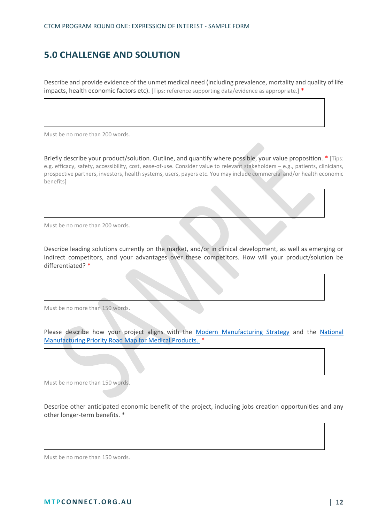## <span id="page-11-0"></span>**5.0 CHALLENGE AND SOLUTION**

Describe and provide evidence of the unmet medical need (including prevalence, mortality and quality of life impacts, health economic factors etc). [Tips: reference supporting data/evidence as appropriate.] \*

Must be no more than 200 words.

Briefly describe your product/solution. Outline, and quantify where possible, your value proposition. \* [Tips: e.g. efficacy, safety, accessibility, cost, ease-of-use. Consider value to relevant stakeholders – e.g., patients, clinicians, prospective partners, investors, health systems, users, payers etc. You may include commercial and/or health economic benefits]

Must be no more than 200 words.

Describe leading solutions currently on the market, and/or in clinical development, as well as emerging or indirect competitors, and your advantages over these competitors. How will your product/solution be differentiated? \*

Must be no more than 150 words.

Please describe how your project aligns with the [Modern Manufacturing Strategy](https://www.industry.gov.au/data-and-publications/make-it-happen-the-australian-governments-modern-manufacturing-strategy) and the [National](https://www.industry.gov.au/sites/default/files/February%202021/document/medical-products-national-manufacturing-priority-road-map.pdf)  [Manufacturing Priority Road Map for Medical Products.](https://www.industry.gov.au/sites/default/files/February%202021/document/medical-products-national-manufacturing-priority-road-map.pdf) \*

Must be no more than 150 words.

Describe other anticipated economic benefit of the project, including jobs creation opportunities and any other longer-term benefits. \*

Must be no more than 150 words.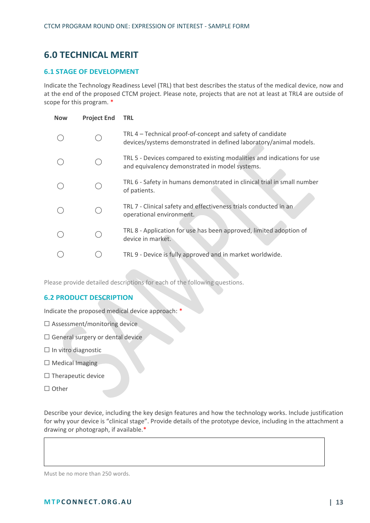## <span id="page-12-0"></span>**6.0 TECHNICAL MERIT**

#### <span id="page-12-1"></span>**6.1 STAGE OF DEVELOPMENT**

Indicate the Technology Readiness Level (TRL) that best describes the status of the medical device, now and at the end of the proposed CTCM project. Please note, projects that are not at least at TRL4 are outside of scope for this program. \*

| <b>Now</b> | <b>Project End</b> | <b>TRL</b>                                                                                                                      |
|------------|--------------------|---------------------------------------------------------------------------------------------------------------------------------|
|            |                    | TRL 4 – Technical proof-of-concept and safety of candidate<br>devices/systems demonstrated in defined laboratory/animal models. |
|            |                    | TRL 5 - Devices compared to existing modalities and indications for use<br>and equivalency demonstrated in model systems.       |
|            |                    | TRL 6 - Safety in humans demonstrated in clinical trial in small number<br>of patients.                                         |
|            |                    | TRL 7 - Clinical safety and effectiveness trials conducted in an<br>operational environment.                                    |
|            |                    | TRL 8 - Application for use has been approved, limited adoption of<br>device in market.                                         |
|            |                    | TRL 9 - Device is fully approved and in market worldwide.                                                                       |

Please provide detailed descriptions for each of the following questions.

#### <span id="page-12-2"></span>**6.2 PRODUCT DESCRIPTION**

Indicate the proposed medical device approach: \*

- $\Box$  Assessment/monitoring device
- □ General surgery or dental device
- ☐ In vitro diagnostic
- □ Medical Imaging
- □ Therapeutic device
- ☐ Other

Describe your device, including the key design features and how the technology works. Include justification for why your device is "clinical stage". Provide details of the prototype device, including in the attachment a drawing or photograph, if available.\*

Must be no more than 250 words.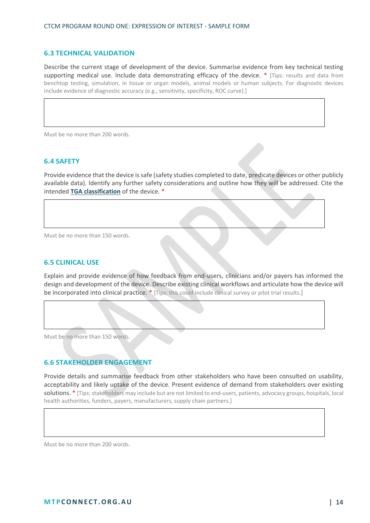#### <span id="page-13-0"></span>**6.3 TECHNICAL VALIDATION**

Describe the current stage of development of the device. Summarise evidence from key technical testing supporting medical use. Include data demonstrating efficacy of the device.  $*$  [Tips: results and data from benchtop testing, simulation, in tissue or organ models, animal models or human subjects. For diagnostic devices include evidence of diagnostic accuracy (e.g., sensitivity, specificity, ROC curve).]

Must be no more than 200 words.

#### <span id="page-13-1"></span>**6.4 SAFETY**

Provide evidence that the device is safe (safety studies completed to date, predicate devices or other publicly available data). Identify any further safety considerations and outline how they will be addressed. Cite the intended **[TGA classification](https://www.tga.gov.au/sme-assist/what-classification-my-medical-device)** of the device. \*

Must be no more than 150 words.

#### <span id="page-13-2"></span>**6.5 CLINICAL USE**

Explain and provide evidence of how feedback from end-users, clinicians and/or payers has informed the design and development of the device. Describe existing clinical workflows and articulate how the device will be incorporated into clinical practice. \* [Tips: this could include clinical survey or pilot trial results.]

Must be no more than 150 words.

#### <span id="page-13-3"></span>**6.6 STAKEHOLDER ENGAGEMENT**

Provide details and summarise feedback from other stakeholders who have been consulted on usability, acceptability and likely uptake of the device. Present evidence of demand from stakeholders over existing solutions. \* [Tips: stakeholders may include but are not limited to end-users, patients, advocacy groups, hospitals, local health authorities, funders, payers, manufacturers, supply chain partners.]

Must be no more than 200 words.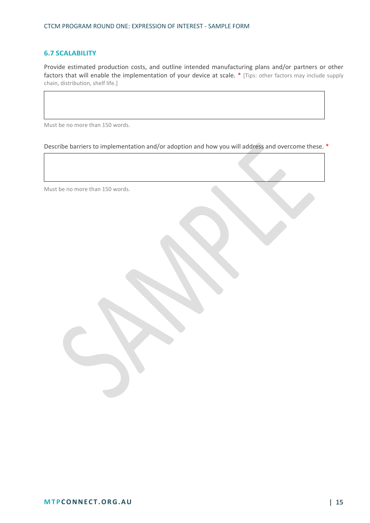#### <span id="page-14-0"></span>**6.7 SCALABILITY**

Provide estimated production costs, and outline intended manufacturing plans and/or partners or other factors that will enable the implementation of your device at scale. \* [Tips: other factors may include supply chain, distribution, shelf life.]

Must be no more than 150 words.

Describe barriers to implementation and/or adoption and how you will address and overcome these. \*

Must be no more than 150 words.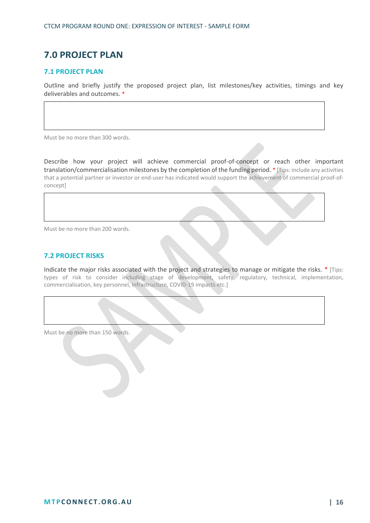## <span id="page-15-0"></span>**7.0 PROJECT PLAN**

#### <span id="page-15-1"></span>**7.1 PROJECT PLAN**

Outline and briefly justify the proposed project plan, list milestones/key activities, timings and key deliverables and outcomes. \*

Must be no more than 300 words.

Describe how your project will achieve commercial proof-of-concept or reach other important translation/commercialisation milestones by the completion of the funding period. \* [Tips: include any activities that a potential partner or investor or end-user has indicated would support the achievement of commercial proof-ofconcept]

Must be no more than 200 words.

#### <span id="page-15-2"></span>**7.2 PROJECT RISKS**

Indicate the major risks associated with the project and strategies to manage or mitigate the risks. \* [Tips: types of risk to consider including stage of development, safety, regulatory, technical, implementation, commercialisation, key personnel, infrastructure, COVID-19 impacts etc.]

Must be no more than 150 words.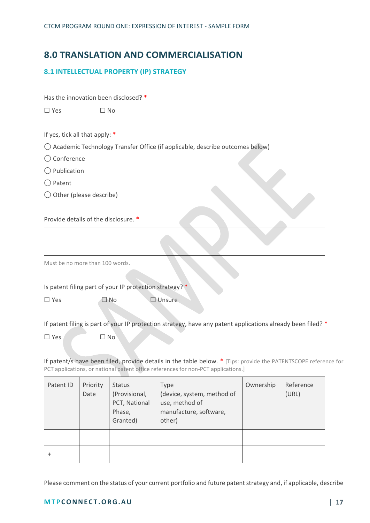## <span id="page-16-0"></span>**8.0 TRANSLATION AND COMMERCIALISATION**

#### <span id="page-16-1"></span>**8.1 INTELLECTUAL PROPERTY (IP) STRATEGY**

Has the innovation been disclosed? \*

 $\Box$  Yes  $\Box$  No

If yes, tick all that apply: \*

◯ Academic Technology Transfer Office (if applicable, describe outcomes below)

◯ Conference

◯ Publication

◯ Patent

◯ Other (please describe)

Provide details of the disclosure. \*

Must be no more than 100 words.

Is patent filing part of your IP protection strategy?

☐ Yes ☐ No ☐ Unsure

If patent filing is part of your IP protection strategy, have any patent applications already been filed? \*

☐ Yes ☐ No

If patent/s have been filed, provide details in the table below. \* [Tips: provide the PATENTSCOPE reference for PCT applications, or national patent office references for non-PCT applications.]

| Patent ID | Priority<br>Date | <b>Status</b><br>(Provisional,<br>PCT, National<br>Phase,<br>Granted) | Type<br>(device, system, method of<br>use, method of<br>manufacture, software,<br>other) | Ownership | Reference<br>(URL) |
|-----------|------------------|-----------------------------------------------------------------------|------------------------------------------------------------------------------------------|-----------|--------------------|
|           |                  |                                                                       |                                                                                          |           |                    |
| ٠         |                  |                                                                       |                                                                                          |           |                    |

Please comment on the status of your current portfolio and future patent strategy and, if applicable, describe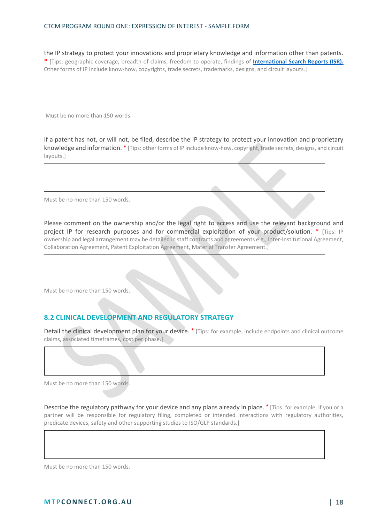#### CTCM PROGRAM ROUND ONE: EXPRESSION OF INTEREST - SAMPLE FORM

the IP strategy to protect your innovations and proprietary knowledge and information other than patents. \* [Tips: geographic coverage, breadth of claims, freedom to operate, findings of **[International Search Reports \(ISR\).](https://www.ipaustralia.gov.au/patents/applying-patent/international-application-process/search-report-and-written-opinion)**  Other forms of IP include know-how, copyrights, trade secrets, trademarks, designs, and circuit layouts.]

Must be no more than 150 words.

If a patent has not, or will not, be filed, describe the IP strategy to protect your innovation and proprietary knowledge and information. \* [Tips: other forms of IP include know-how, copyright, trade secrets, designs, and circuit layouts.]

Must be no more than 150 words.

Please comment on the ownership and/or the legal right to access and use the relevant background and project IP for research purposes and for commercial exploitation of your product/solution. \* [Tips: IP ownership and legal arrangement may be detailed in staff contracts and agreements e.g., Inter-Institutional Agreement, Collaboration Agreement, Patent Exploitation Agreement, Material Transfer Agreement.]

Must be no more than 150 words.

#### <span id="page-17-0"></span>**8.2 CLINICAL DEVELOPMENT AND REGULATORY STRATEGY**

Detail the clinical development plan for your device. \* [Tips: for example, include endpoints and clinical outcome claims, associated timeframes, cost per phase.]

Must be no more than 150 words.

Describe the regulatory pathway for your device and any plans already in place.  $*$  [Tips: for example, if you or a partner will be responsible for regulatory filing, completed or intended interactions with regulatory authorities, predicate devices, safety and other supporting studies to ISO/GLP standards.]

Must be no more than 150 words.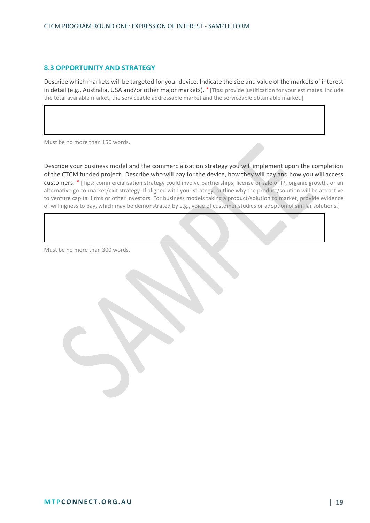#### <span id="page-18-0"></span>**8.3 OPPORTUNITY AND STRATEGY**

Describe which markets will be targeted for your device. Indicate the size and value of the markets of interest in detail (e.g., Australia, USA and/or other major markets). \* [Tips: provide justification for your estimates. Include the total available market, the serviceable addressable market and the serviceable obtainable market.]

Must be no more than 150 words.

Describe your business model and the commercialisation strategy you will implement upon the completion of the CTCM funded project. Describe who will pay for the device, how they will pay and how you will access customers. \* [Tips: commercialisation strategy could involve partnerships, license or sale of IP, organic growth, or an alternative go-to-market/exit strategy. If aligned with your strategy, outline why the product/solution will be attractive to venture capital firms or other investors. For business models taking a product/solution to market, provide evidence of willingness to pay, which may be demonstrated by e.g., voice of customer studies or adoption of similar solutions.]

Must be no more than 300 words.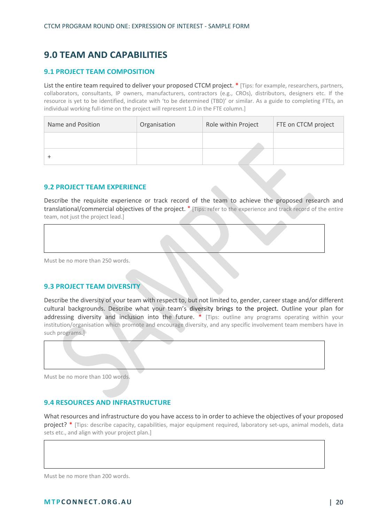## <span id="page-19-0"></span>**9.0 TEAM AND CAPABILITIES**

#### <span id="page-19-1"></span>**9.1 PROJECT TEAM COMPOSITION**

List the entire team required to deliver your proposed CTCM project. \* [Tips: for example, researchers, partners, collaborators, consultants, IP owners, manufacturers, contractors (e.g., CROs), distributors, designers etc. If the resource is yet to be identified, indicate with 'to be determined (TBD)' or similar. As a guide to completing FTEs, an individual working full-time on the project will represent 1.0 in the FTE column.]

| Name and Position | Organisation | Role within Project | FTE on CTCM project |
|-------------------|--------------|---------------------|---------------------|
|                   |              |                     |                     |
|                   |              |                     |                     |

#### <span id="page-19-2"></span>**9.2 PROJECT TEAM EXPERIENCE**

Describe the requisite experience or track record of the team to achieve the proposed research and translational/commercial objectives of the project. \* [Tips: refer to the experience and track record of the entire team, not just the project lead.]

Must be no more than 250 words.

#### <span id="page-19-3"></span>**9.3 PROJECT TEAM DIVERSITY**

Describe the diversity of your team with respect to, but not limited to, gender, career stage and/or different cultural backgrounds. Describe what your team's diversity brings to the project. Outline your plan for addressing diversity and inclusion into the future.  $*$  [Tips: outline any programs operating within your institution/organisation which promote and encourage diversity, and any specific involvement team members have in such programs.<sup>1</sup>

Must be no more than 100 words.

#### <span id="page-19-4"></span>**9.4 RESOURCES AND INFRASTRUCTURE**

What resources and infrastructure do you have access to in order to achieve the objectives of your proposed project? \* [Tips: describe capacity, capabilities, major equipment required, laboratory set-ups, animal models, data sets etc., and align with your project plan.]

Must be no more than 200 words.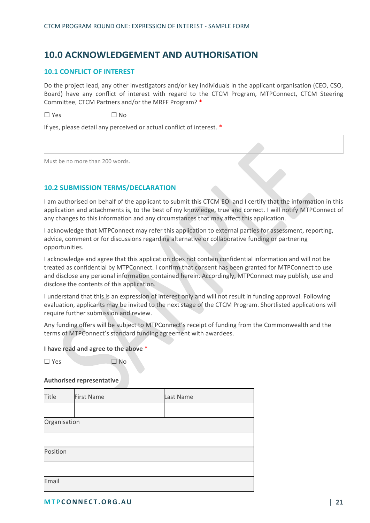## <span id="page-20-0"></span>**10.0 ACKNOWLEDGEMENT AND AUTHORISATION**

#### <span id="page-20-1"></span>**10.1 CONFLICT OF INTEREST**

Do the project lead, any other investigators and/or key individuals in the applicant organisation (CEO, CSO, Board) have any conflict of interest with regard to the CTCM Program, MTPConnect, CTCM Steering Committee, CTCM Partners and/or the MRFF Program? \*

 $\square$  Yes  $\square$  No

If yes, please detail any perceived or actual conflict of interest. \*

Must be no more than 200 words.

#### <span id="page-20-2"></span>**10.2 SUBMISSION TERMS/DECLARATION**

I am authorised on behalf of the applicant to submit this CTCM EOI and I certify that the information in this application and attachments is, to the best of my knowledge, true and correct. I will notify MTPConnect of any changes to this information and any circumstances that may affect this application.

I acknowledge that MTPConnect may refer this application to external parties for assessment, reporting, advice, comment or for discussions regarding alternative or collaborative funding or partnering opportunities.

I acknowledge and agree that this application does not contain confidential information and will not be treated as confidential by MTPConnect. I confirm that consent has been granted for MTPConnect to use and disclose any personal information contained herein. Accordingly, MTPConnect may publish, use and disclose the contents of this application.

I understand that this is an expression of interest only and will not result in funding approval. Following evaluation, applicants may be invited to the next stage of the CTCM Program. Shortlisted applications will require further submission and review.

Any funding offers will be subject to MTPConnect's receipt of funding from the Commonwealth and the terms of MTPConnect's standard funding agreement with awardees.

#### **I have read and agree to the above** \*

 $\Box$  Yes  $\Box$  No

#### **Authorised representative**

| <b>Title</b> | <b>First Name</b> | Last Name |
|--------------|-------------------|-----------|
|              |                   |           |
| Organisation |                   |           |
|              |                   |           |
| Position     |                   |           |
|              |                   |           |
| Email        |                   |           |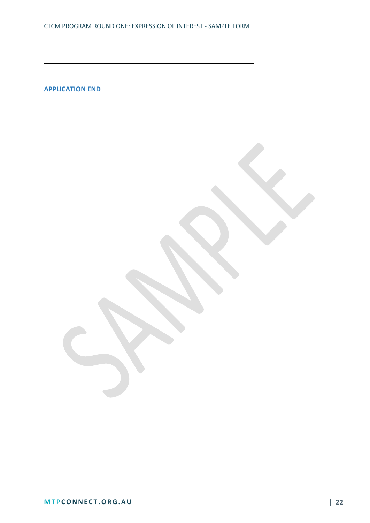**APPLICATION END**

**M T P C O N N E C T . O R G . A U | 22**